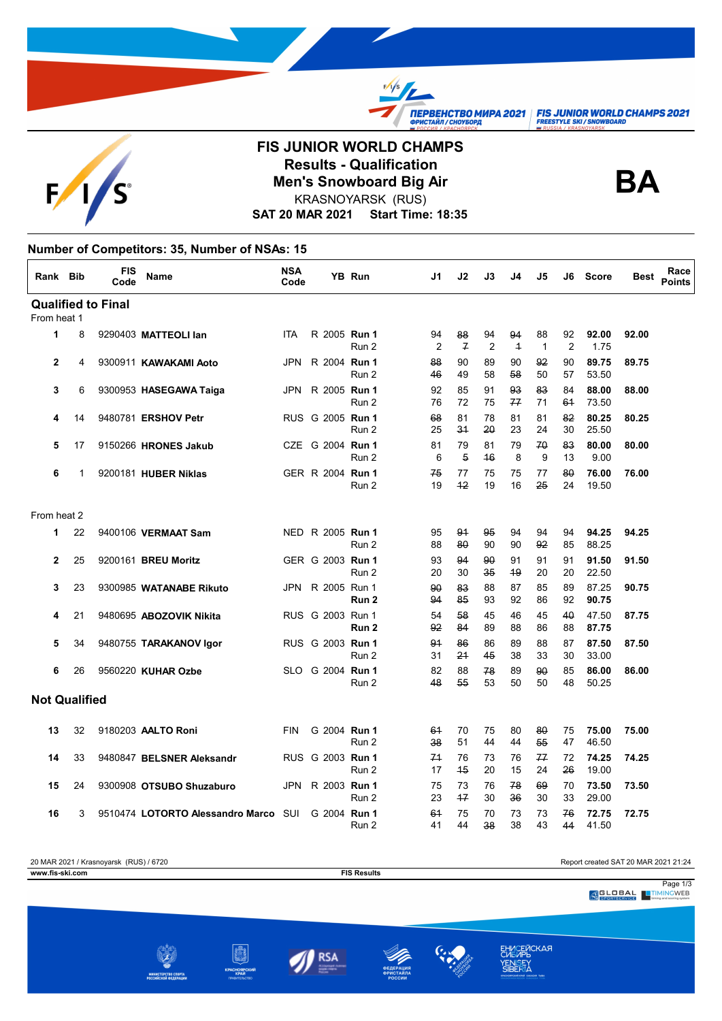$F_{\ell}$ 

## **FIS JUNIOR WORLD CHAMPS Results - Qualification<br>Men's Snowboard Big Air<br>KRASNOVARSK (BUS)** KRASNOYARSK (RUS)

 $\frac{f}{f}$ 

**TIEPBEHCTBO MUPA 2021 FIS JUNIOR WORLD CHAMPS 2021**<br> **OPUCTAЙЛ/CHOYSOPA**<br>
FREESTYLE SKI/SNOWBOARD

**SAT 20 MAR 2021 Start Time: 18:35**

## **Number of Competitors: 35, Number of NSAs: 15**

| Rank Bib             |    | <b>FIS</b><br>Code        | <b>Name</b>                          | <b>NSA</b><br>Code |  | YB Run                    | J1                   | J2                  | J3                   | J4                   | J5                 | J6       | <b>Score</b>   | <b>Best</b> | Race<br><b>Points</b> |
|----------------------|----|---------------------------|--------------------------------------|--------------------|--|---------------------------|----------------------|---------------------|----------------------|----------------------|--------------------|----------|----------------|-------------|-----------------------|
|                      |    | <b>Qualified to Final</b> |                                      |                    |  |                           |                      |                     |                      |                      |                    |          |                |             |                       |
| From heat 1          |    |                           |                                      |                    |  |                           |                      |                     |                      |                      |                    |          |                |             |                       |
| $\mathbf{1}$         | 8  |                           | 9290403 MATTEOLI lan                 | <b>ITA</b>         |  | R 2005 Run 1<br>Run 2     | 94<br>$\overline{2}$ | 88<br>$\mathcal{F}$ | 94<br>$\overline{2}$ | 94<br>$\overline{1}$ | 88<br>$\mathbf{1}$ | 92<br>2  | 92.00<br>1.75  | 92.00       |                       |
| $\mathbf{2}$         | 4  |                           | 9300911 KAWAKAMI Aoto                | <b>JPN</b>         |  | R 2004 Run 1<br>Run 2     | 88<br>46             | 90<br>49            | 89<br>58             | 90<br>58             | 92<br>50           | 90<br>57 | 89.75<br>53.50 | 89.75       |                       |
| 3                    | 6  |                           | 9300953 HASEGAWA Taiga               | JPN                |  | R 2005 Run 1<br>Run 2     | 92<br>76             | 85<br>72            | 91<br>75             | 93<br>77             | 83<br>71           | 84<br>61 | 88.00<br>73.50 | 88.00       |                       |
| 4                    | 14 |                           | 9480781 ERSHOV Petr                  |                    |  | RUS G 2005 Run 1<br>Run 2 | 68<br>25             | 81<br>34            | 78<br>20             | 81<br>23             | 81<br>24           | 82<br>30 | 80.25<br>25.50 | 80.25       |                       |
| 5                    | 17 |                           | 9150266 HRONES Jakub                 |                    |  | CZE G 2004 Run 1<br>Run 2 | 81<br>6              | 79<br>5             | 81<br>46             | 79<br>8              | 70<br>9            | 83<br>13 | 80.00<br>9.00  | 80.00       |                       |
| 6                    | 1  |                           | 9200181 HUBER Niklas                 |                    |  | GER R 2004 Run 1<br>Run 2 | 75<br>19             | 77<br>42            | 75<br>19             | 75<br>16             | 77<br>25           | 80<br>24 | 76.00<br>19.50 | 76.00       |                       |
| From heat 2          |    |                           |                                      |                    |  |                           |                      |                     |                      |                      |                    |          |                |             |                       |
| 1                    | 22 |                           | 9400106 VERMAAT Sam                  |                    |  | NED R 2005 Run 1<br>Run 2 | 95<br>88             | 91<br>80            | 95<br>90             | 94<br>90             | 94<br>92           | 94<br>85 | 94.25<br>88.25 | 94.25       |                       |
| $\mathbf{2}$         | 25 |                           | 9200161 <b>BREU Moritz</b>           |                    |  | GER G 2003 Run 1<br>Run 2 | 93<br>20             | 94<br>30            | 90<br>35             | 91<br>49             | 91<br>20           | 91<br>20 | 91.50<br>22.50 | 91.50       |                       |
| 3                    | 23 |                           | 9300985 WATANABE Rikuto              | JPN                |  | R 2005 Run 1<br>Run 2     | 90<br>94             | 83<br>85            | 88<br>93             | 87<br>92             | 85<br>86           | 89<br>92 | 87.25<br>90.75 | 90.75       |                       |
| 4                    | 21 |                           | 9480695 ABOZOVIK Nikita              |                    |  | RUS G 2003 Run 1<br>Run 2 | 54<br>92             | 58<br>84            | 45<br>89             | 46<br>88             | 45<br>86           | 40<br>88 | 47.50<br>87.75 | 87.75       |                       |
| 5                    | 34 |                           | 9480755 TARAKANOV Igor               |                    |  | RUS G 2003 Run 1<br>Run 2 | 91<br>31             | 86<br>24            | 86<br>45             | 89<br>38             | 88<br>33           | 87<br>30 | 87.50<br>33.00 | 87.50       |                       |
| 6                    | 26 |                           | 9560220 KUHAR Ozbe                   |                    |  | SLO G 2004 Run 1<br>Run 2 | 82<br>48             | 88<br>55            | 78<br>53             | 89<br>50             | 90<br>50           | 85<br>48 | 86.00<br>50.25 | 86.00       |                       |
| <b>Not Qualified</b> |    |                           |                                      |                    |  |                           |                      |                     |                      |                      |                    |          |                |             |                       |
| 13                   | 32 |                           | 9180203 AALTO Roni                   | <b>FIN</b>         |  | G 2004 Run 1<br>Run 2     | 61<br>38             | 70<br>51            | 75<br>44             | 80<br>44             | 80<br>55           | 75<br>47 | 75.00<br>46.50 | 75.00       |                       |
| 14                   | 33 |                           | 9480847 BELSNER Aleksandr            |                    |  | RUS G 2003 Run 1<br>Run 2 | 71<br>17             | 76<br>45            | 73<br>20             | 76<br>15             | 77<br>24           | 72<br>26 | 74.25<br>19.00 | 74.25       |                       |
| 15                   | 24 |                           | 9300908 OTSUBO Shuzaburo             |                    |  | JPN R 2003 Run 1<br>Run 2 | 75<br>23             | 73<br>47            | 76<br>30             | 78<br>36             | 69<br>30           | 70<br>33 | 73.50<br>29.00 | 73.50       |                       |
| 16                   | 3  |                           | 9510474 LOTORTO Alessandro Marco SUI |                    |  | G 2004 Run 1<br>Run 2     | 61<br>41             | 75<br>44            | 70<br>38             | 73<br>38             | 73<br>43           | 76<br>44 | 72.75<br>41.50 | 72.75       |                       |



ЕНИСЕЙСКАЯ<br>СИБИРЬ<br>VENICEY YENISEY<br>SIBERIA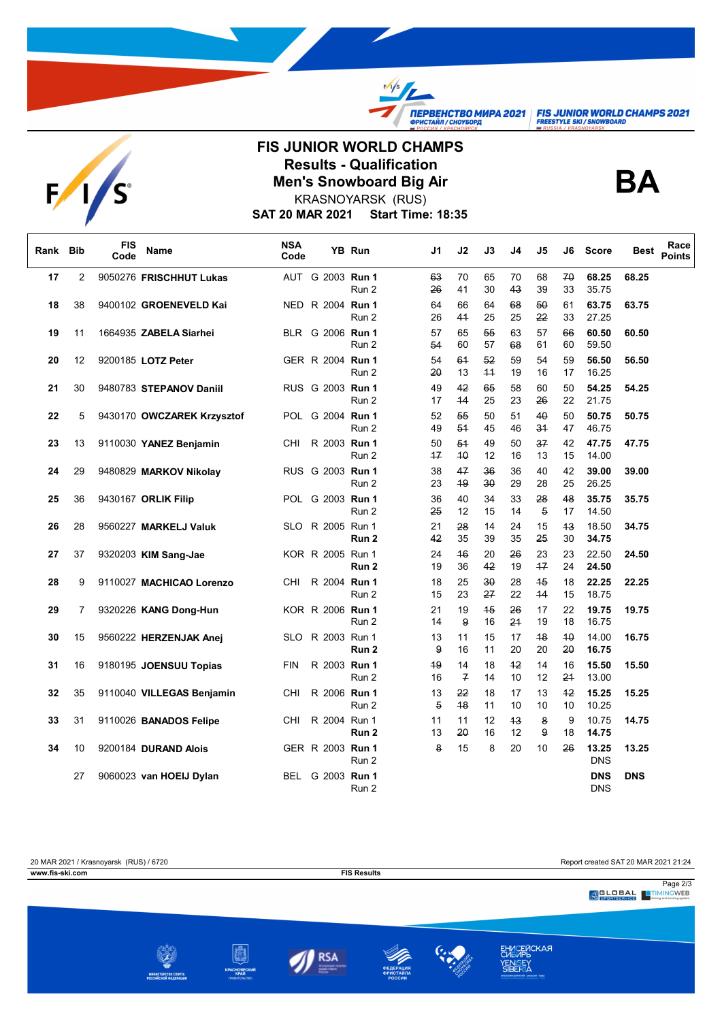TEPBEHCTBO MUPA 2021 | FIS JUNIOR WORLD CHAMPS 2021



## **FIS JUNIOR WORLD CHAMPS Results - Qualification<br>Men's Snowboard Big Air<br>KRASNOVARSK (BUS)** KRASNOYARSK (RUS)

 $\frac{f}{f}$ 



**SAT 20 MAR 2021 Start Time: 18:35**

| Rank Bib |                | <b>FIS</b><br>Code | Name                       | <b>NSA</b><br>Code |                  | YB Run | J1                   | J2                   | J3         | J4       | J5                   | J6       | <b>Score</b>             | <b>Best</b> | Race<br><b>Points</b> |
|----------|----------------|--------------------|----------------------------|--------------------|------------------|--------|----------------------|----------------------|------------|----------|----------------------|----------|--------------------------|-------------|-----------------------|
| 17       | $\overline{2}$ |                    | 9050276 FRISCHHUT Lukas    |                    | AUT G 2003 Run 1 | Run 2  | 63<br>26             | 70<br>41             | 65<br>30   | 70<br>43 | 68<br>39             | 70<br>33 | 68.25<br>35.75           | 68.25       |                       |
| 18       | 38             |                    | 9400102 GROENEVELD Kai     |                    | NED R 2004 Run 1 | Run 2  | 64<br>26             | 66<br>41             | 64<br>25   | 68<br>25 | 50<br>22             | 61<br>33 | 63.75<br>27.25           | 63.75       |                       |
| 19       | 11             |                    | 1664935 ZABELA Siarhei     |                    | BLR G 2006 Run 1 | Run 2  | 57<br>54             | 65<br>60             | 55<br>57   | 63<br>68 | 57<br>61             | 66<br>60 | 60.50<br>59.50           | 60.50       |                       |
| 20       | 12             |                    | 9200185 LOTZ Peter         |                    | GER R 2004 Run 1 | Run 2  | 54<br>20             | 61<br>13             | 52<br>$+4$ | 59<br>19 | 54<br>16             | 59<br>17 | 56.50<br>16.25           | 56.50       |                       |
| 21       | 30             |                    | 9480783 STEPANOV Daniil    |                    | RUS G 2003 Run 1 | Run 2  | 49<br>17             | 42<br>44             | 65<br>25   | 58<br>23 | 60<br>26             | 50<br>22 | 54.25<br>21.75           | 54.25       |                       |
| 22       | 5              |                    | 9430170 OWCZAREK Krzysztof |                    | POL G 2004 Run 1 | Run 2  | 52<br>49             | 55<br>54             | 50<br>45   | 51<br>46 | 40<br>34             | 50<br>47 | 50.75<br>46.75           | 50.75       |                       |
| 23       | 13             |                    | 9110030 YANEZ Benjamin     | CHI                | R 2003 Run 1     | Run 2  | 50<br>$+7$           | 51<br>40             | 49<br>12   | 50<br>16 | 37<br>13             | 42<br>15 | 47.75<br>14.00           | 47.75       |                       |
| 24       | 29             |                    | 9480829 MARKOV Nikolay     |                    | RUS G 2003 Run 1 | Run 2  | 38<br>23             | 47<br>49             | 36<br>30   | 36<br>29 | 40<br>28             | 42<br>25 | 39.00<br>26.25           | 39.00       |                       |
| 25       | 36             |                    | 9430167 ORLIK Filip        |                    | POL G 2003 Run 1 | Run 2  | 36<br>25             | 40<br>12             | 34<br>15   | 33<br>14 | 28<br>$\overline{5}$ | 48<br>17 | 35.75<br>14.50           | 35.75       |                       |
| 26       | 28             |                    | 9560227 MARKELJ Valuk      |                    | SLO R 2005 Run 1 | Run 2  | 21<br>42             | 28<br>35             | 14<br>39   | 24<br>35 | 15<br>25             | 43<br>30 | 18.50<br>34.75           | 34.75       |                       |
| 27       | 37             |                    | 9320203 KIM Sang-Jae       |                    | KOR R 2005 Run 1 | Run 2  | 24<br>19             | 46<br>36             | 20<br>42   | 26<br>19 | 23<br>47             | 23<br>24 | 22.50<br>24.50           | 24.50       |                       |
| 28       | 9              |                    | 9110027 MACHICAO Lorenzo   | CHI                | R 2004 Run 1     | Run 2  | 18<br>15             | 25<br>23             | 30<br>27   | 28<br>22 | 45<br>44             | 18<br>15 | 22.25<br>18.75           | 22.25       |                       |
| 29       | 7              |                    | 9320226 KANG Dong-Hun      |                    | KOR R 2006 Run 1 | Run 2  | 21<br>14             | 19<br>9              | 45<br>16   | 26<br>24 | 17<br>19             | 22<br>18 | 19.75<br>16.75           | 19.75       |                       |
| 30       | 15             |                    | 9560222 HERZENJAK Anej     |                    | SLO R 2003 Run 1 | Run 2  | 13<br>9              | 11<br>16             | 15<br>11   | 17<br>20 | 48<br>20             | 40<br>20 | 14.00<br>16.75           | 16.75       |                       |
| 31       | 16             |                    | 9180195 JOENSUU Topias     | <b>FIN</b>         | R 2003 Run 1     | Run 2  | 49<br>16             | 14<br>$\overline{f}$ | 18<br>14   | 42<br>10 | 14<br>12             | 16<br>24 | 15.50<br>13.00           | 15.50       |                       |
| 32       | 35             |                    | 9110040 VILLEGAS Benjamin  | CHI                | R 2006 Run 1     | Run 2  | 13<br>$\overline{5}$ | 22<br>48             | 18<br>11   | 17<br>10 | 13<br>10             | 42<br>10 | 15.25<br>10.25           | 15.25       |                       |
| 33       | 31             |                    | 9110026 BANADOS Felipe     | CHI                | R 2004 Run 1     | Run 2  | 11<br>13             | 11<br>20             | 12<br>16   | 43<br>12 | 8<br>9               | 9<br>18  | 10.75<br>14.75           | 14.75       |                       |
| 34       | 10             |                    | 9200184 DURAND Alois       |                    | GER R 2003 Run 1 | Run 2  | 8                    | 15                   | 8          | 20       | 10                   | 26       | 13.25<br><b>DNS</b>      | 13.25       |                       |
|          | 27             |                    | 9060023 van HOEIJ Dylan    |                    | BEL G 2003 Run 1 | Run 2  |                      |                      |            |          |                      |          | <b>DNS</b><br><b>DNS</b> | <b>DNS</b>  |                       |

20 MAR 2021 / Krasnoyarsk (RUS) / 6720<br> **EIS Results** FIS Results<br> **EIS Results** FIS Results **www.fis-ski.com FIS Results** Page 2/3<br>Page 2/3<br>Properservice Priming and scrips action ЕНИСЕЙСКАЯ<br>СИБИРЬ<br>YENISEY<br>SIBERIA